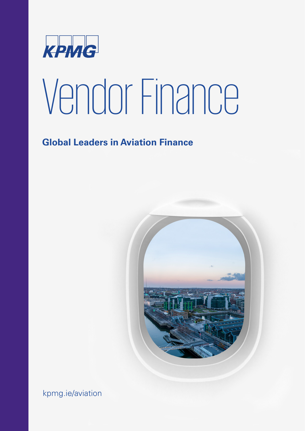

# Vendor Finance

## **Global Leaders in Aviation Finance**



kpmg.ie/aviation